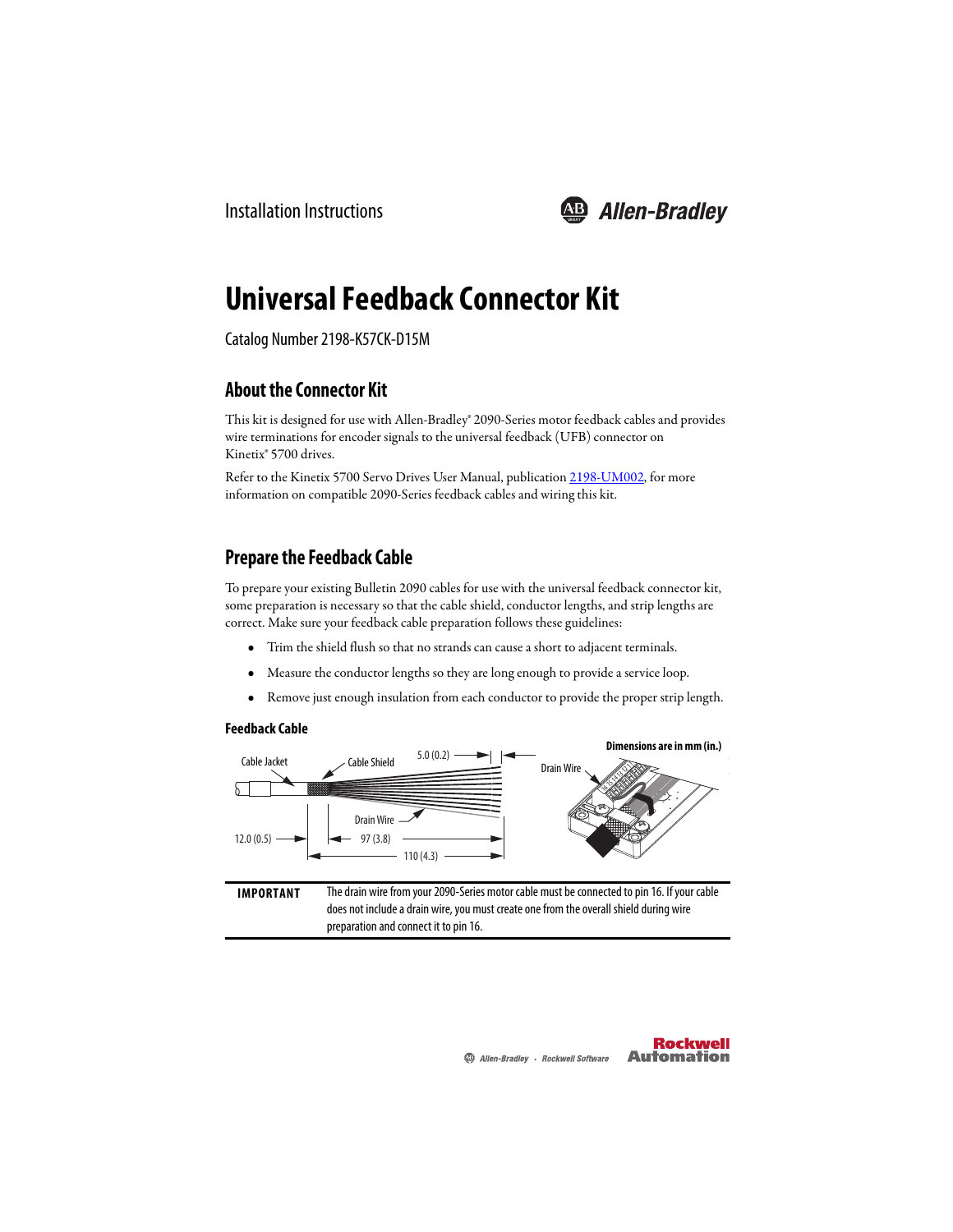

# **Universal Feedback Connector Kit**

Catalog Number 2198-K57CK-D15M

### **About the Connector Kit**

This kit is designed for use with Allen-Bradley® 2090-Series motor feedback cables and provides wire terminations for encoder signals to the universal feedback (UFB) connector on Kinetix® 5700 drives.

Refer to the Kinetix 5700 Servo Drives User Manual, publication [2198-UM002,](http://literature.rockwellautomation.com/idc/groups/literature/documents/um/2198-um002_-en-p.pdf) for more information on compatible 2090-Series feedback cables and wiring this kit.

### **Prepare the Feedback Cable**

To prepare your existing Bulletin 2090 cables for use with the universal feedback connector kit, some preparation is necessary so that the cable shield, conductor lengths, and strip lengths are correct. Make sure your feedback cable preparation follows these guidelines:

- **•** Trim the shield flush so that no strands can cause a short to adjacent terminals.
- **•** Measure the conductor lengths so they are long enough to provide a service loop.
- **•** Remove just enough insulation from each conductor to provide the proper strip length.

#### **Feedback Cable**

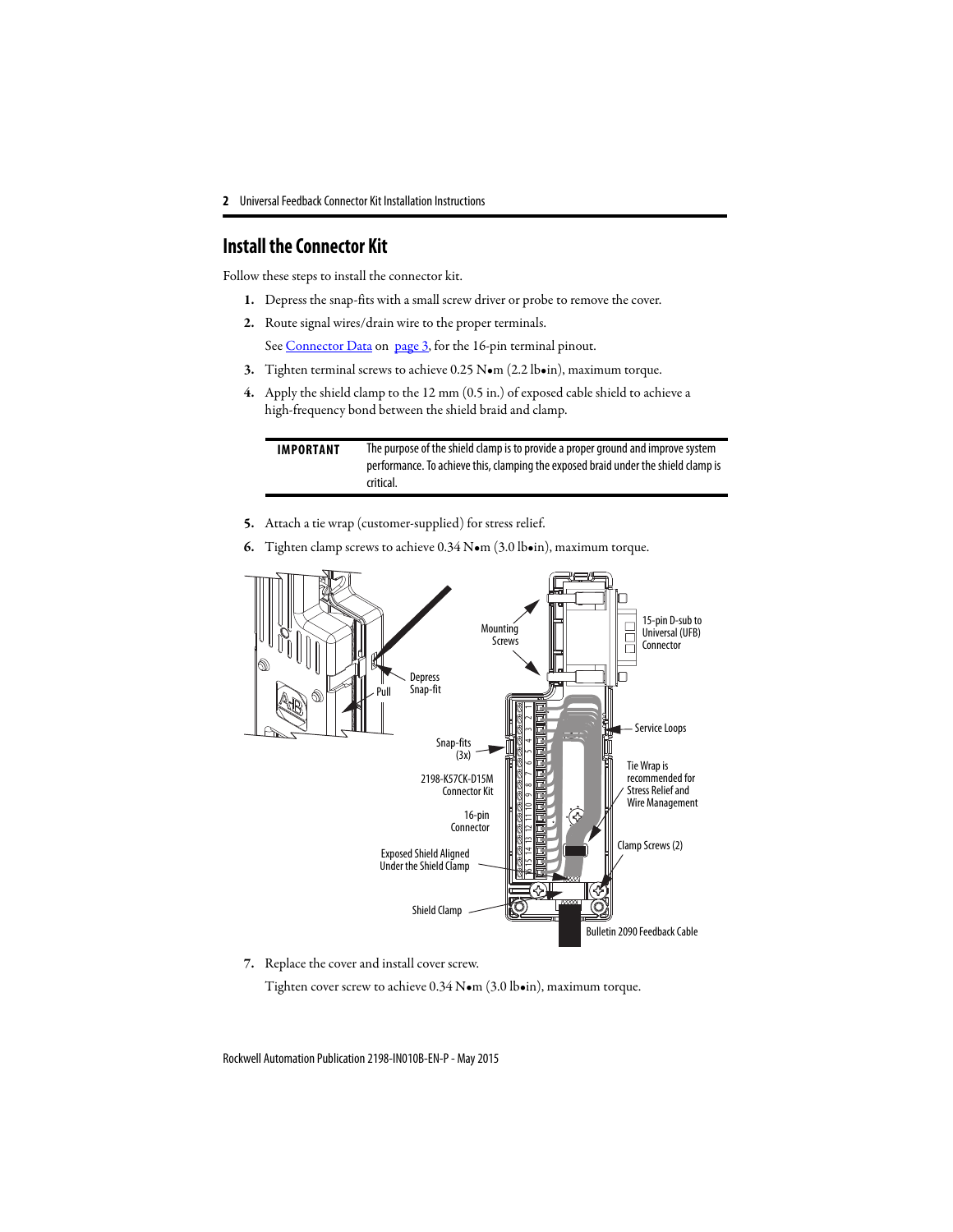#### **Install the Connector Kit**

Follow these steps to install the connector kit.

- **1.** Depress the snap-fits with a small screw driver or probe to remove the cover.
- **2.** Route signal wires/drain wire to the proper terminals.

See Connector Data on page 3, for the 16-pin terminal pinout.

- **3.** Tig[hten terminal scr](#page-2-0)ews [to achi](#page-2-0)eve 0.25 N•m (2.2 lb•in), maximum torque.
- **4.** Apply the shield clamp to the 12 mm (0.5 in.) of exposed cable shield to achieve a high-frequency bond between the shield braid and clamp.

**IMPORTANT** The purpose of the shield clamp is to provide a proper ground and improve system performance. To achieve this, clamping the exposed braid under the shield clamp is critical.

- **5.** Attach a tie wrap (customer-supplied) for stress relief.
- **6.** Tighten clamp screws to achieve 0.34 N•m (3.0 lb•in), maximum torque.



**7.** Replace the cover and install cover screw.

Tighten cover screw to achieve 0.34 N•m (3.0 lb•in), maximum torque.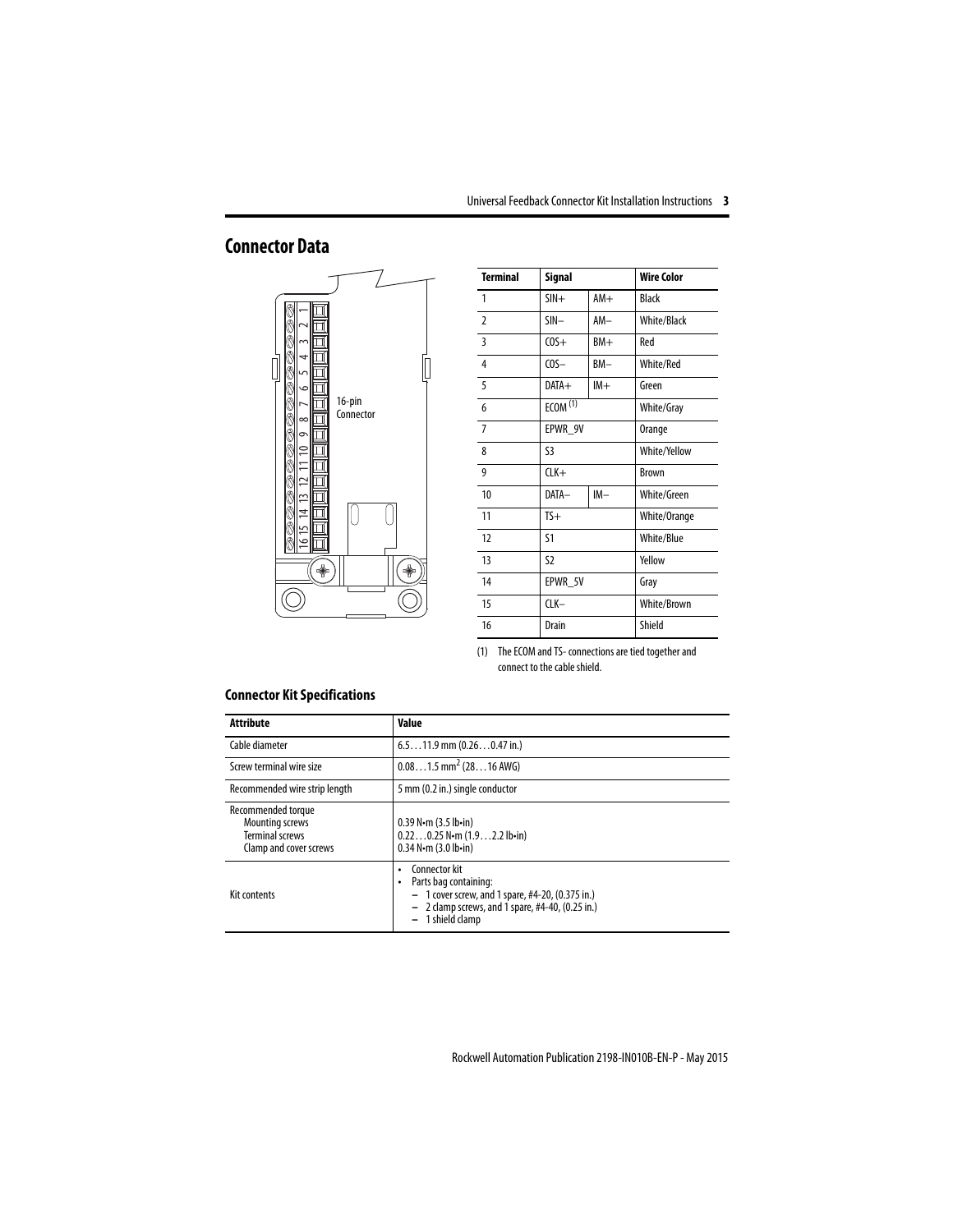# <span id="page-2-0"></span>**Connector Data**



| <b>Terminal</b> | Signal              |       | <b>Wire Color</b>  |
|-----------------|---------------------|-------|--------------------|
| $\mathbf{1}$    | $SIN +$             | $AM+$ | Black              |
| $\mathfrak z$   | SIN-                | AM-   | <b>White/Black</b> |
| 3               | $COS+$              | $BM+$ | Red                |
| 4               | $COS-$              | BM-   | White/Red          |
| 5               | $DATA+$             | $IM+$ | Green              |
| 6               | ECOM <sup>(1)</sup> |       | White/Gray         |
| $\overline{7}$  | EPWR_9V             |       | Orange             |
| 8               | S3                  |       | White/Yellow       |
| 9               | $CLK+$              |       | <b>Brown</b>       |
| 10              | DATA-               | $IM-$ | White/Green        |
| 11              | $TS+$               |       | White/Orange       |
| 12              | S1                  |       | White/Blue         |
| 13              | S <sub>2</sub>      |       | Yellow             |
| 14              | EPWR_5V             |       | Gray               |
| 15              | CLK-                |       | White/Brown        |
| 16              | Drain               |       | Shield             |

<sup>(1)</sup> The ECOM and TS- connections are tied together and connect to the cable shield.

#### **Connector Kit Specifications**

| Attribute                                                                                        | Value                                                                                                                                                                       |
|--------------------------------------------------------------------------------------------------|-----------------------------------------------------------------------------------------------------------------------------------------------------------------------------|
| Cable diameter                                                                                   | $6.511.9$ mm $(0.260.47$ in.)                                                                                                                                               |
| Screw terminal wire size                                                                         | $0.081.5$ mm <sup>2</sup> (2816 AWG)                                                                                                                                        |
| Recommended wire strip length                                                                    | 5 mm (0.2 in.) single conductor                                                                                                                                             |
| Recommended torque<br><b>Mounting screws</b><br><b>Terminal screws</b><br>Clamp and cover screws | $0.39$ N $\cdot$ m $(3.5$ lb $\cdot$ in)<br>$0.220.25$ N $\cdot$ m (1.92.2 lb $\cdot$ in)<br>$0.34$ N $\cdot$ m $(3.0$ lb $\cdot$ in)                                       |
| Kit contents                                                                                     | Connector kit<br>٠<br>Parts bag containing:<br>٠<br>- 1 cover screw, and 1 spare, #4-20, (0.375 in.)<br>$-2$ clamp screws, and 1 spare, #4-40, (0.25 in.)<br>1 shield clamp |